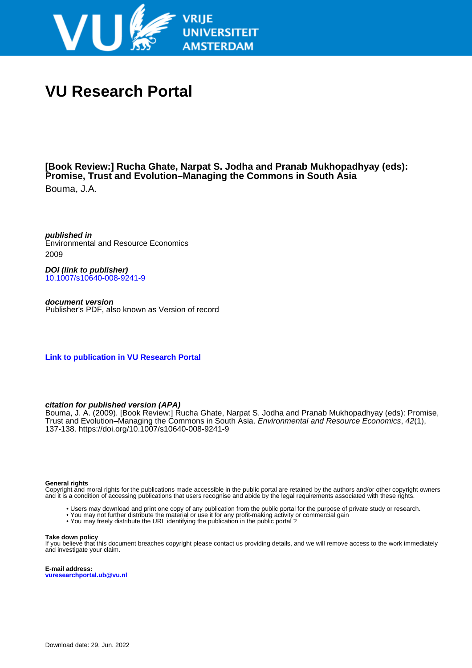

# **VU Research Portal**

# **[Book Review:] Rucha Ghate, Narpat S. Jodha and Pranab Mukhopadhyay (eds): Promise, Trust and Evolution–Managing the Commons in South Asia**

Bouma, J.A.

**published in** Environmental and Resource Economics 2009

**DOI (link to publisher)** [10.1007/s10640-008-9241-9](https://doi.org/10.1007/s10640-008-9241-9)

**document version** Publisher's PDF, also known as Version of record

**[Link to publication in VU Research Portal](https://research.vu.nl/en/publications/42f44c3c-e050-44a6-b7de-aec96f6d3b9f)**

## **citation for published version (APA)**

Bouma, J. A. (2009). [Book Review:] Rucha Ghate, Narpat S. Jodha and Pranab Mukhopadhyay (eds): Promise, Trust and Evolution–Managing the Commons in South Asia. *Environmental and Resource Economics, 4*2(1), 137-138.<https://doi.org/10.1007/s10640-008-9241-9>

#### **General rights**

Copyright and moral rights for the publications made accessible in the public portal are retained by the authors and/or other copyright owners and it is a condition of accessing publications that users recognise and abide by the legal requirements associated with these rights.

- Users may download and print one copy of any publication from the public portal for the purpose of private study or research.
- You may not further distribute the material or use it for any profit-making activity or commercial gain
- You may freely distribute the URL identifying the publication in the public portal ?

#### **Take down policy**

If you believe that this document breaches copyright please contact us providing details, and we will remove access to the work immediately and investigate your claim.

**E-mail address: vuresearchportal.ub@vu.nl**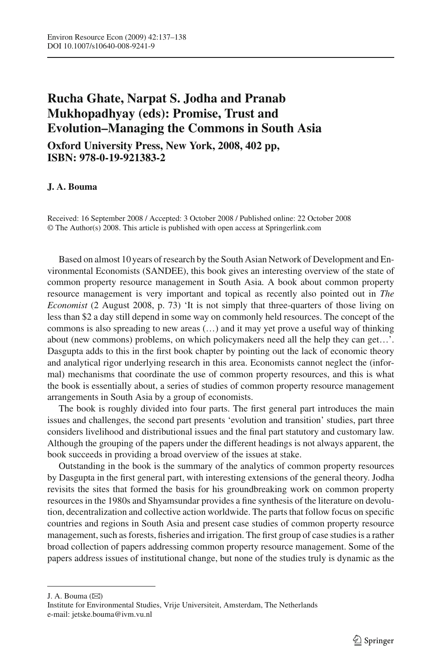## **Rucha Ghate, Narpat S. Jodha and Pranab Mukhopadhyay (eds): Promise, Trust and Evolution–Managing the Commons in South Asia**

**Oxford University Press, New York, 2008, 402 pp, ISBN: 978-0-19-921383-2**

## **J. A. Bouma**

Received: 16 September 2008 / Accepted: 3 October 2008 / Published online: 22 October 2008 © The Author(s) 2008. This article is published with open access at Springerlink.com

Based on almost 10 years of research by the South Asian Network of Development and Environmental Economists (SANDEE), this book gives an interesting overview of the state of common property resource management in South Asia. A book about common property resource management is very important and topical as recently also pointed out in *The Economist* (2 August 2008, p. 73) 'It is not simply that three-quarters of those living on less than \$2 a day still depend in some way on commonly held resources. The concept of the commons is also spreading to new areas (…) and it may yet prove a useful way of thinking about (new commons) problems, on which policymakers need all the help they can get…'. Dasgupta adds to this in the first book chapter by pointing out the lack of economic theory and analytical rigor underlying research in this area. Economists cannot neglect the (informal) mechanisms that coordinate the use of common property resources, and this is what the book is essentially about, a series of studies of common property resource management arrangements in South Asia by a group of economists.

The book is roughly divided into four parts. The first general part introduces the main issues and challenges, the second part presents 'evolution and transition' studies, part three considers livelihood and distributional issues and the final part statutory and customary law. Although the grouping of the papers under the different headings is not always apparent, the book succeeds in providing a broad overview of the issues at stake.

Outstanding in the book is the summary of the analytics of common property resources by Dasgupta in the first general part, with interesting extensions of the general theory. Jodha revisits the sites that formed the basis for his groundbreaking work on common property resources in the 1980s and Shyamsundar provides a fine synthesis of the literature on devolution, decentralization and collective action worldwide. The parts that follow focus on specific countries and regions in South Asia and present case studies of common property resource management, such as forests, fisheries and irrigation. The first group of case studies is a rather broad collection of papers addressing common property resource management. Some of the papers address issues of institutional change, but none of the studies truly is dynamic as the

J. A. Bouma  $(\boxtimes)$ 

Institute for Environmental Studies, Vrije Universiteit, Amsterdam, The Netherlands e-mail: jetske.bouma@ivm.vu.nl